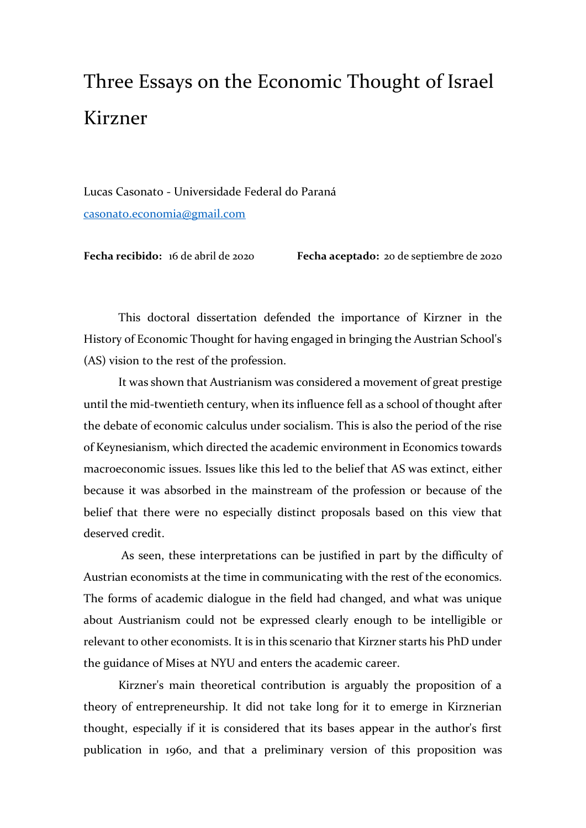## Three Essays on the Economic Thought of Israel Kirzner

Lucas Casonato - Universidade Federal do Paraná [casonato.economia@gmail.com](mailto:casonato.economia@gmail.com)

**Fecha recibido:** 16 de abril de 2020 **Fecha aceptado:** 20 de septiembre de 2020

This doctoral dissertation defended the importance of Kirzner in the History of Economic Thought for having engaged in bringing the Austrian School's (AS) vision to the rest of the profession.

It was shown that Austrianism was considered a movement of great prestige until the mid-twentieth century, when its influence fell as a school of thought after the debate of economic calculus under socialism. This is also the period of the rise of Keynesianism, which directed the academic environment in Economics towards macroeconomic issues. Issues like this led to the belief that AS was extinct, either because it was absorbed in the mainstream of the profession or because of the belief that there were no especially distinct proposals based on this view that deserved credit.

As seen, these interpretations can be justified in part by the difficulty of Austrian economists at the time in communicating with the rest of the economics. The forms of academic dialogue in the field had changed, and what was unique about Austrianism could not be expressed clearly enough to be intelligible or relevant to other economists. It is in this scenario that Kirzner starts his PhD under the guidance of Mises at NYU and enters the academic career.

Kirzner's main theoretical contribution is arguably the proposition of a theory of entrepreneurship. It did not take long for it to emerge in Kirznerian thought, especially if it is considered that its bases appear in the author's first publication in 1960, and that a preliminary version of this proposition was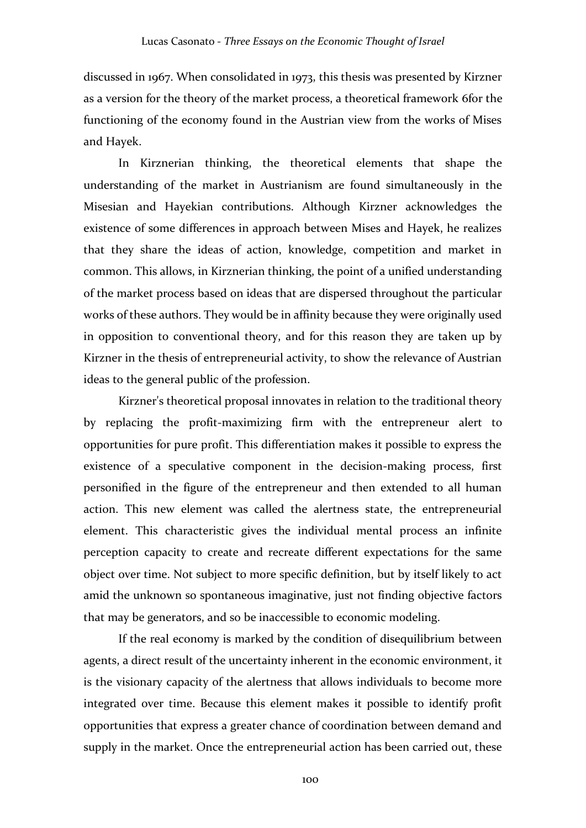discussed in 1967. When consolidated in 1973, this thesis was presented by Kirzner as a version for the theory of the market process, a theoretical framework 6for the functioning of the economy found in the Austrian view from the works of Mises and Hayek.

In Kirznerian thinking, the theoretical elements that shape the understanding of the market in Austrianism are found simultaneously in the Misesian and Hayekian contributions. Although Kirzner acknowledges the existence of some differences in approach between Mises and Hayek, he realizes that they share the ideas of action, knowledge, competition and market in common. This allows, in Kirznerian thinking, the point of a unified understanding of the market process based on ideas that are dispersed throughout the particular works of these authors. They would be in affinity because they were originally used in opposition to conventional theory, and for this reason they are taken up by Kirzner in the thesis of entrepreneurial activity, to show the relevance of Austrian ideas to the general public of the profession.

Kirzner's theoretical proposal innovates in relation to the traditional theory by replacing the profit-maximizing firm with the entrepreneur alert to opportunities for pure profit. This differentiation makes it possible to express the existence of a speculative component in the decision-making process, first personified in the figure of the entrepreneur and then extended to all human action. This new element was called the alertness state, the entrepreneurial element. This characteristic gives the individual mental process an infinite perception capacity to create and recreate different expectations for the same object over time. Not subject to more specific definition, but by itself likely to act amid the unknown so spontaneous imaginative, just not finding objective factors that may be generators, and so be inaccessible to economic modeling.

If the real economy is marked by the condition of disequilibrium between agents, a direct result of the uncertainty inherent in the economic environment, it is the visionary capacity of the alertness that allows individuals to become more integrated over time. Because this element makes it possible to identify profit opportunities that express a greater chance of coordination between demand and supply in the market. Once the entrepreneurial action has been carried out, these

100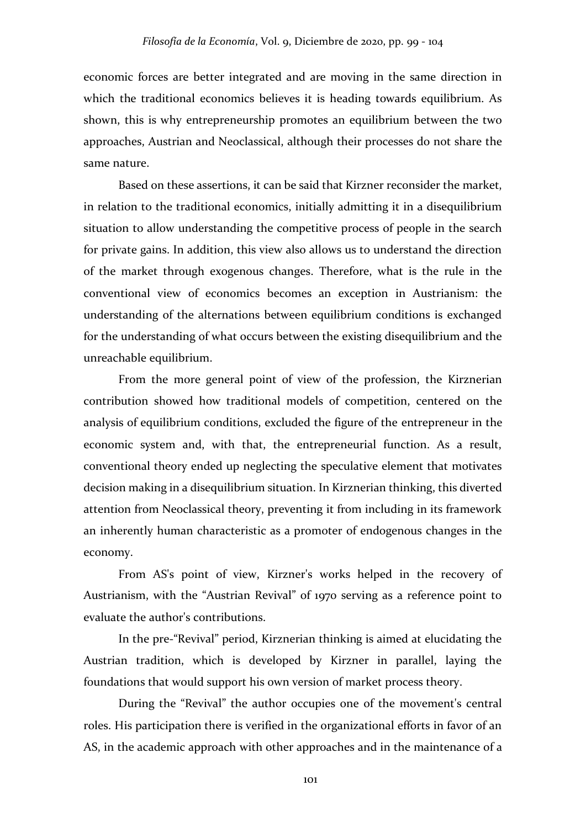economic forces are better integrated and are moving in the same direction in which the traditional economics believes it is heading towards equilibrium. As shown, this is why entrepreneurship promotes an equilibrium between the two approaches, Austrian and Neoclassical, although their processes do not share the same nature.

Based on these assertions, it can be said that Kirzner reconsider the market, in relation to the traditional economics, initially admitting it in a disequilibrium situation to allow understanding the competitive process of people in the search for private gains. In addition, this view also allows us to understand the direction of the market through exogenous changes. Therefore, what is the rule in the conventional view of economics becomes an exception in Austrianism: the understanding of the alternations between equilibrium conditions is exchanged for the understanding of what occurs between the existing disequilibrium and the unreachable equilibrium.

From the more general point of view of the profession, the Kirznerian contribution showed how traditional models of competition, centered on the analysis of equilibrium conditions, excluded the figure of the entrepreneur in the economic system and, with that, the entrepreneurial function. As a result, conventional theory ended up neglecting the speculative element that motivates decision making in a disequilibrium situation. In Kirznerian thinking, this diverted attention from Neoclassical theory, preventing it from including in its framework an inherently human characteristic as a promoter of endogenous changes in the economy.

From AS's point of view, Kirzner's works helped in the recovery of Austrianism, with the "Austrian Revival" of 1970 serving as a reference point to evaluate the author's contributions.

In the pre-"Revival" period, Kirznerian thinking is aimed at elucidating the Austrian tradition, which is developed by Kirzner in parallel, laying the foundations that would support his own version of market process theory.

During the "Revival" the author occupies one of the movement's central roles. His participation there is verified in the organizational efforts in favor of an AS, in the academic approach with other approaches and in the maintenance of a

101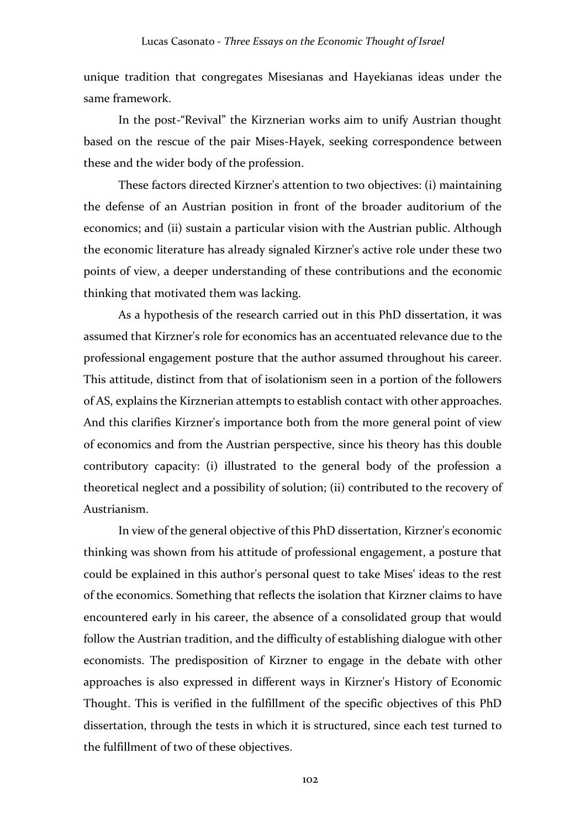unique tradition that congregates Misesianas and Hayekianas ideas under the same framework.

In the post-"Revival" the Kirznerian works aim to unify Austrian thought based on the rescue of the pair Mises-Hayek, seeking correspondence between these and the wider body of the profession.

These factors directed Kirzner's attention to two objectives: (i) maintaining the defense of an Austrian position in front of the broader auditorium of the economics; and (ii) sustain a particular vision with the Austrian public. Although the economic literature has already signaled Kirzner's active role under these two points of view, a deeper understanding of these contributions and the economic thinking that motivated them was lacking.

As a hypothesis of the research carried out in this PhD dissertation, it was assumed that Kirzner's role for economics has an accentuated relevance due to the professional engagement posture that the author assumed throughout his career. This attitude, distinct from that of isolationism seen in a portion of the followers of AS, explains the Kirznerian attempts to establish contact with other approaches. And this clarifies Kirzner's importance both from the more general point of view of economics and from the Austrian perspective, since his theory has this double contributory capacity: (i) illustrated to the general body of the profession a theoretical neglect and a possibility of solution; (ii) contributed to the recovery of Austrianism.

In view of the general objective of this PhD dissertation, Kirzner's economic thinking was shown from his attitude of professional engagement, a posture that could be explained in this author's personal quest to take Mises' ideas to the rest of the economics. Something that reflects the isolation that Kirzner claims to have encountered early in his career, the absence of a consolidated group that would follow the Austrian tradition, and the difficulty of establishing dialogue with other economists. The predisposition of Kirzner to engage in the debate with other approaches is also expressed in different ways in Kirzner's History of Economic Thought. This is verified in the fulfillment of the specific objectives of this PhD dissertation, through the tests in which it is structured, since each test turned to the fulfillment of two of these objectives.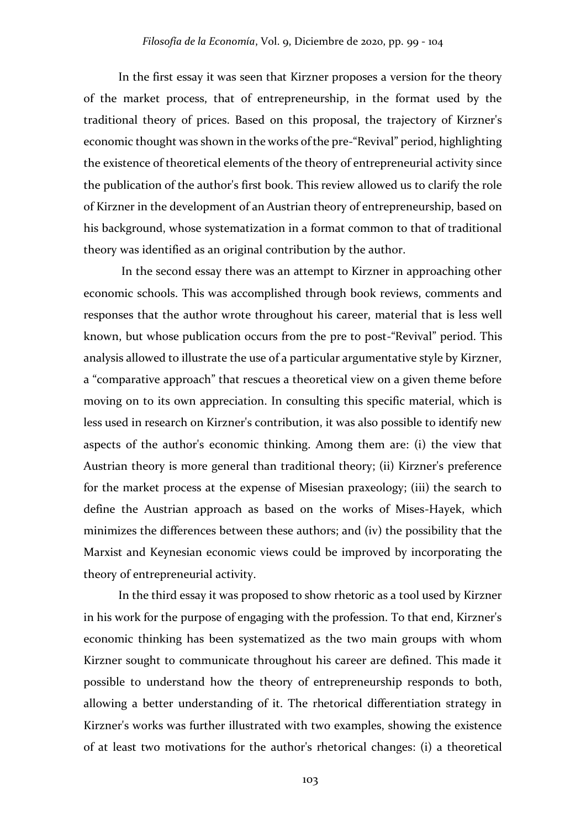In the first essay it was seen that Kirzner proposes a version for the theory of the market process, that of entrepreneurship, in the format used by the traditional theory of prices. Based on this proposal, the trajectory of Kirzner's economic thought was shown in the works of the pre-"Revival" period, highlighting the existence of theoretical elements of the theory of entrepreneurial activity since the publication of the author's first book. This review allowed us to clarify the role of Kirzner in the development of an Austrian theory of entrepreneurship, based on his background, whose systematization in a format common to that of traditional theory was identified as an original contribution by the author.

In the second essay there was an attempt to Kirzner in approaching other economic schools. This was accomplished through book reviews, comments and responses that the author wrote throughout his career, material that is less well known, but whose publication occurs from the pre to post-"Revival" period. This analysis allowed to illustrate the use of a particular argumentative style by Kirzner, a "comparative approach" that rescues a theoretical view on a given theme before moving on to its own appreciation. In consulting this specific material, which is less used in research on Kirzner's contribution, it was also possible to identify new aspects of the author's economic thinking. Among them are: (i) the view that Austrian theory is more general than traditional theory; (ii) Kirzner's preference for the market process at the expense of Misesian praxeology; (iii) the search to define the Austrian approach as based on the works of Mises-Hayek, which minimizes the differences between these authors; and (iv) the possibility that the Marxist and Keynesian economic views could be improved by incorporating the theory of entrepreneurial activity.

In the third essay it was proposed to show rhetoric as a tool used by Kirzner in his work for the purpose of engaging with the profession. To that end, Kirzner's economic thinking has been systematized as the two main groups with whom Kirzner sought to communicate throughout his career are defined. This made it possible to understand how the theory of entrepreneurship responds to both, allowing a better understanding of it. The rhetorical differentiation strategy in Kirzner's works was further illustrated with two examples, showing the existence of at least two motivations for the author's rhetorical changes: (i) a theoretical

103